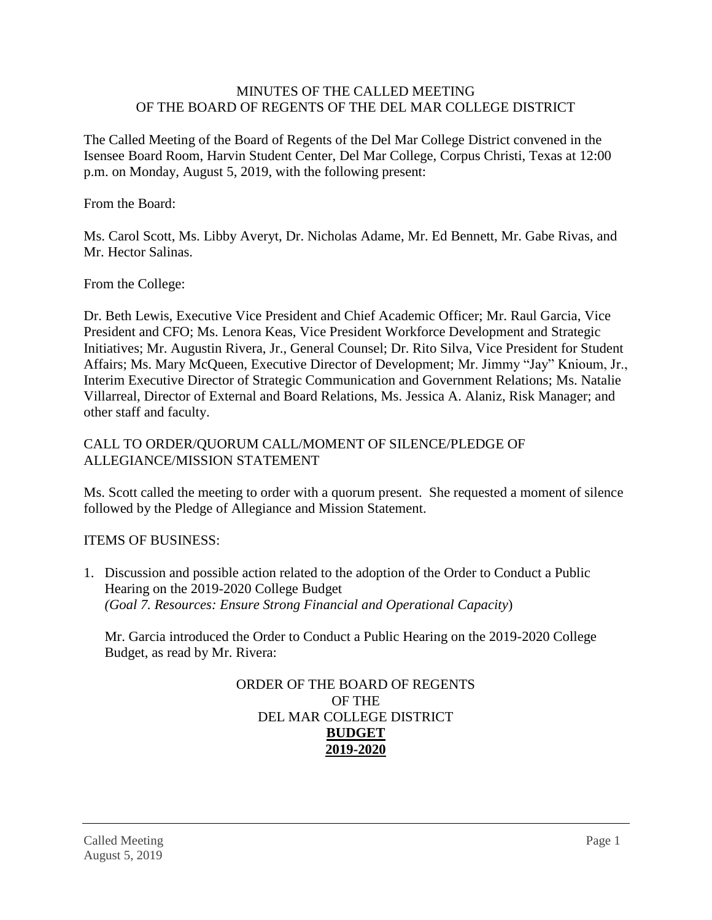### MINUTES OF THE CALLED MEETING OF THE BOARD OF REGENTS OF THE DEL MAR COLLEGE DISTRICT

The Called Meeting of the Board of Regents of the Del Mar College District convened in the Isensee Board Room, Harvin Student Center, Del Mar College, Corpus Christi, Texas at 12:00 p.m. on Monday, August 5, 2019, with the following present:

From the Board:

Ms. Carol Scott, Ms. Libby Averyt, Dr. Nicholas Adame, Mr. Ed Bennett, Mr. Gabe Rivas, and Mr. Hector Salinas.

From the College:

Dr. Beth Lewis, Executive Vice President and Chief Academic Officer; Mr. Raul Garcia, Vice President and CFO; Ms. Lenora Keas, Vice President Workforce Development and Strategic Initiatives; Mr. Augustin Rivera, Jr., General Counsel; Dr. Rito Silva, Vice President for Student Affairs; Ms. Mary McQueen, Executive Director of Development; Mr. Jimmy "Jay" Knioum, Jr., Interim Executive Director of Strategic Communication and Government Relations; Ms. Natalie Villarreal, Director of External and Board Relations, Ms. Jessica A. Alaniz, Risk Manager; and other staff and faculty.

## CALL TO ORDER/QUORUM CALL/MOMENT OF SILENCE/PLEDGE OF ALLEGIANCE/MISSION STATEMENT

Ms. Scott called the meeting to order with a quorum present. She requested a moment of silence followed by the Pledge of Allegiance and Mission Statement.

## ITEMS OF BUSINESS:

1. Discussion and possible action related to the adoption of the Order to Conduct a Public Hearing on the 2019-2020 College Budget *(Goal 7. Resources: Ensure Strong Financial and Operational Capacity*)

Mr. Garcia introduced the Order to Conduct a Public Hearing on the 2019-2020 College Budget, as read by Mr. Rivera:

### ORDER OF THE BOARD OF REGENTS OF THE DEL MAR COLLEGE DISTRICT **BUDGET 2019-2020**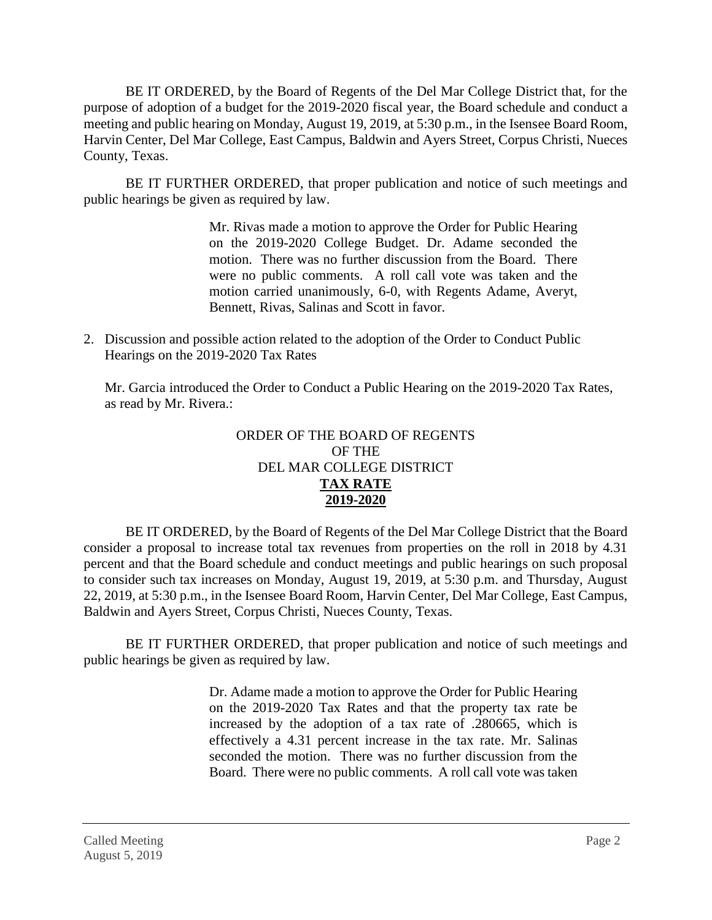BE IT ORDERED, by the Board of Regents of the Del Mar College District that, for the purpose of adoption of a budget for the 2019-2020 fiscal year, the Board schedule and conduct a meeting and public hearing on Monday, August 19, 2019, at 5:30 p.m., in the Isensee Board Room, Harvin Center, Del Mar College, East Campus, Baldwin and Ayers Street, Corpus Christi, Nueces County, Texas.

BE IT FURTHER ORDERED, that proper publication and notice of such meetings and public hearings be given as required by law.

> Mr. Rivas made a motion to approve the Order for Public Hearing on the 2019-2020 College Budget. Dr. Adame seconded the motion. There was no further discussion from the Board. There were no public comments. A roll call vote was taken and the motion carried unanimously, 6-0, with Regents Adame, Averyt, Bennett, Rivas, Salinas and Scott in favor.

2. Discussion and possible action related to the adoption of the Order to Conduct Public Hearings on the 2019-2020 Tax Rates

Mr. Garcia introduced the Order to Conduct a Public Hearing on the 2019-2020 Tax Rates, as read by Mr. Rivera.:

# ORDER OF THE BOARD OF REGENTS OF THE DEL MAR COLLEGE DISTRICT **TAX RATE 2019-2020**

BE IT ORDERED, by the Board of Regents of the Del Mar College District that the Board consider a proposal to increase total tax revenues from properties on the roll in 2018 by 4.31 percent and that the Board schedule and conduct meetings and public hearings on such proposal to consider such tax increases on Monday, August 19, 2019, at 5:30 p.m. and Thursday, August 22, 2019, at 5:30 p.m., in the Isensee Board Room, Harvin Center, Del Mar College, East Campus, Baldwin and Ayers Street, Corpus Christi, Nueces County, Texas.

BE IT FURTHER ORDERED, that proper publication and notice of such meetings and public hearings be given as required by law.

> Dr. Adame made a motion to approve the Order for Public Hearing on the 2019-2020 Tax Rates and that the property tax rate be increased by the adoption of a tax rate of .280665, which is effectively a 4.31 percent increase in the tax rate. Mr. Salinas seconded the motion. There was no further discussion from the Board. There were no public comments. A roll call vote was taken